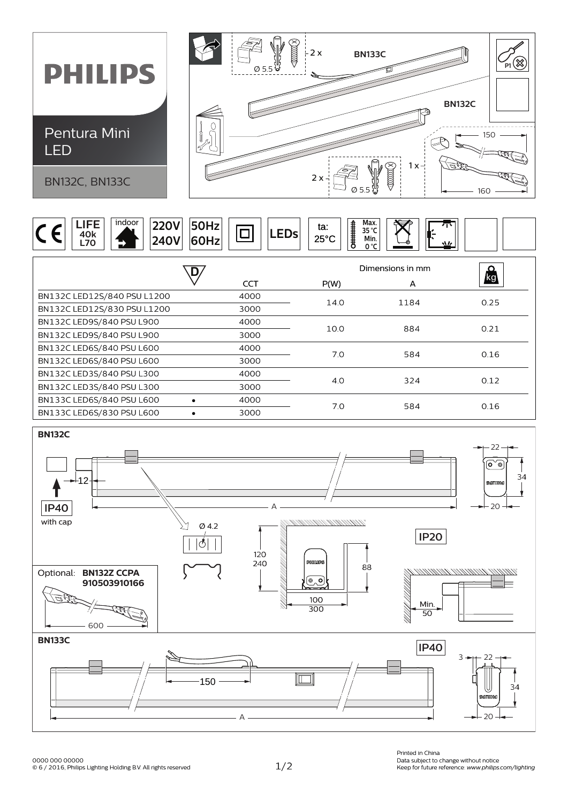





0000 000 00000<br>© 6 / 2016, Philips Lighting Holding B.V. All rights reserved 1 / 2